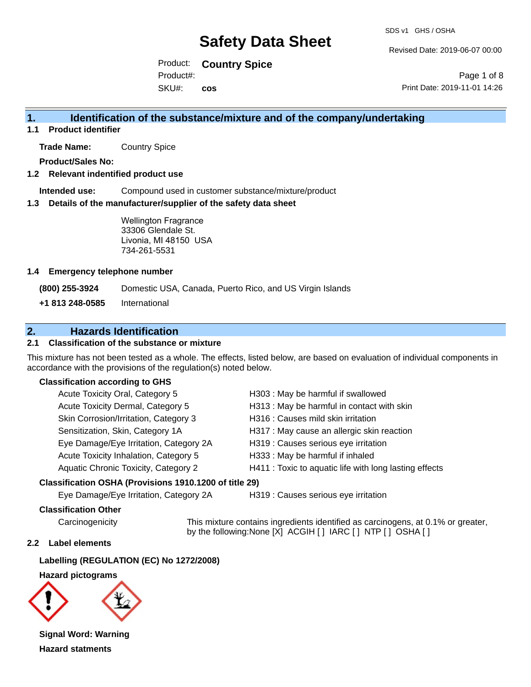Revised Date: 2019-06-07 00:00

Product: **Country Spice**  SKU#: Product#: **cos**

Page 1 of 8 Print Date: 2019-11-01 14:26

### **1. Identification of the substance/mixture and of the company/undertaking**

**1.1 Product identifier**

**Trade Name:** Country Spice

**Product/Sales No:**

#### **1.2 Relevant indentified product use**

**Intended use:** Compound used in customer substance/mixture/product

#### **1.3 Details of the manufacturer/supplier of the safety data sheet**

Wellington Fragrance 33306 Glendale St. Livonia, MI 48150 USA 734-261-5531

#### **1.4 Emergency telephone number**

**(800) 255-3924** Domestic USA, Canada, Puerto Rico, and US Virgin Islands

**+1 813 248-0585** International

### **2. Hazards Identification**

#### **2.1 Classification of the substance or mixture**

This mixture has not been tested as a whole. The effects, listed below, are based on evaluation of individual components in accordance with the provisions of the regulation(s) noted below.

#### **Classification according to GHS**

| Acute Toxicity Oral, Category 5        | H303 : May be harmful if swallowed                     |
|----------------------------------------|--------------------------------------------------------|
| Acute Toxicity Dermal, Category 5      | H313 : May be harmful in contact with skin             |
| Skin Corrosion/Irritation, Category 3  | H316 : Causes mild skin irritation                     |
| Sensitization, Skin, Category 1A       | H317 : May cause an allergic skin reaction             |
| Eye Damage/Eye Irritation, Category 2A | H319 : Causes serious eye irritation                   |
| Acute Toxicity Inhalation, Category 5  | H333: May be harmful if inhaled                        |
| Aquatic Chronic Toxicity, Category 2   | H411 : Toxic to aquatic life with long lasting effects |
|                                        |                                                        |

#### **Classification OSHA (Provisions 1910.1200 of title 29)**

Eye Damage/Eye Irritation, Category 2A H319 : Causes serious eye irritation

#### **Classification Other**

Carcinogenicity This mixture contains ingredients identified as carcinogens, at 0.1% or greater, by the following:None [X] ACGIH [ ] IARC [ ] NTP [ ] OSHA [ ]

#### **2.2 Label elements**

**Labelling (REGULATION (EC) No 1272/2008)**

**Hazard pictograms**



**Signal Word: Warning Hazard statments**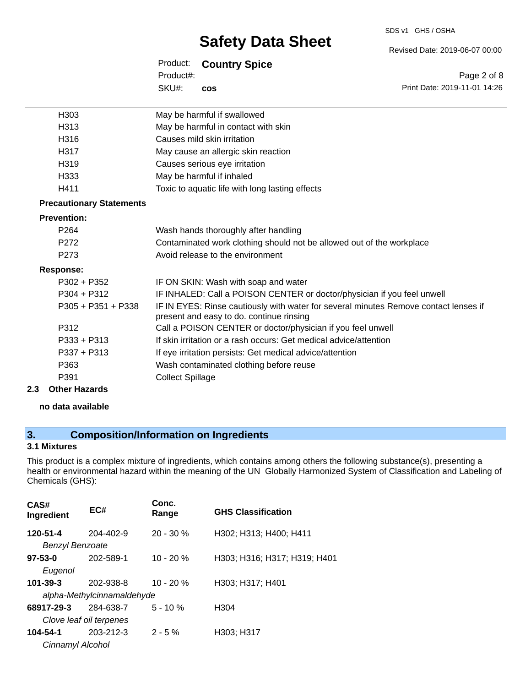#### SDS v1 GHS / OSHA

## **Safety Data Sheet**

Product: **Country Spice**  SKU#: Product#: **cos**

Page 2 of 8 Print Date: 2019-11-01 14:26

Revised Date: 2019-06-07 00:00

| H <sub>303</sub>                | May be harmful if swallowed                                                                                                      |
|---------------------------------|----------------------------------------------------------------------------------------------------------------------------------|
| H <sub>3</sub> 13               | May be harmful in contact with skin                                                                                              |
| H <sub>316</sub>                | Causes mild skin irritation                                                                                                      |
| H <sub>317</sub>                | May cause an allergic skin reaction                                                                                              |
| H319                            | Causes serious eye irritation                                                                                                    |
| H333                            | May be harmful if inhaled                                                                                                        |
| H411                            | Toxic to aquatic life with long lasting effects                                                                                  |
| <b>Precautionary Statements</b> |                                                                                                                                  |
| <b>Prevention:</b>              |                                                                                                                                  |
| P <sub>264</sub>                | Wash hands thoroughly after handling                                                                                             |
| P <sub>272</sub>                | Contaminated work clothing should not be allowed out of the workplace                                                            |
| P <sub>273</sub>                | Avoid release to the environment                                                                                                 |
| <b>Response:</b>                |                                                                                                                                  |
| $P302 + P352$                   | IF ON SKIN: Wash with soap and water                                                                                             |
| $P304 + P312$                   | IF INHALED: Call a POISON CENTER or doctor/physician if you feel unwell                                                          |
| P305 + P351 + P338              | IF IN EYES: Rinse cautiously with water for several minutes Remove contact lenses if<br>present and easy to do. continue rinsing |
| P312                            | Call a POISON CENTER or doctor/physician if you feel unwell                                                                      |
| $P333 + P313$                   | If skin irritation or a rash occurs: Get medical advice/attention                                                                |
| $P337 + P313$                   | If eye irritation persists: Get medical advice/attention                                                                         |
| P363                            | Wash contaminated clothing before reuse                                                                                          |
| P391                            | <b>Collect Spillage</b>                                                                                                          |
| 2.3<br><b>Other Hazards</b>     |                                                                                                                                  |

#### **no data available**

### **3. Composition/Information on Ingredients**

#### **3.1 Mixtures**

This product is a complex mixture of ingredients, which contains among others the following substance(s), presenting a health or environmental hazard within the meaning of the UN Globally Harmonized System of Classification and Labeling of Chemicals (GHS):

| CAS#<br>Ingredient         | EC#             | Conc.<br>Range | <b>GHS Classification</b>    |
|----------------------------|-----------------|----------------|------------------------------|
| 120-51-4                   | $204 - 402 - 9$ | $20 - 30 \%$   | H302; H313; H400; H411       |
| <b>Benzyl Benzoate</b>     |                 |                |                              |
| $97 - 53 - 0$              | 202-589-1       | $10 - 20%$     | H303; H316; H317; H319; H401 |
| Eugenol                    |                 |                |                              |
| $101 - 39 - 3$             | 202-938-8       | $10 - 20 %$    | H303; H317; H401             |
| alpha-Methylcinnamaldehyde |                 |                |                              |
| 68917-29-3                 | 284-638-7       | $5 - 10%$      | H <sub>304</sub>             |
| Clove leaf oil terpenes    |                 |                |                              |
| 104-54-1                   | 203-212-3       | $2 - 5%$       | H303; H317                   |
| Cinnamyl Alcohol           |                 |                |                              |
|                            |                 |                |                              |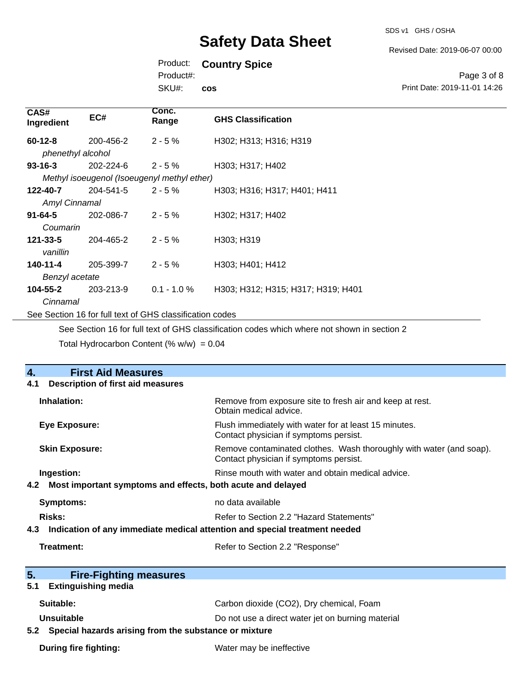Revised Date: 2019-06-07 00:00

### Product: **Country Spice**

Product#:

SKU#: **cos**

#### Page 3 of 8 Print Date: 2019-11-01 14:26

| CAS#<br>Ingredient                                       | EC#                                         | Conc.<br>Range | <b>GHS Classification</b>          |
|----------------------------------------------------------|---------------------------------------------|----------------|------------------------------------|
| $60 - 12 - 8$                                            | 200-456-2                                   | $2 - 5%$       | H302; H313; H316; H319             |
| phenethyl alcohol                                        |                                             |                |                                    |
| $93 - 16 - 3$                                            | 202-224-6                                   | $2 - 5%$       | H303; H317; H402                   |
|                                                          | Methyl isoeugenol (Isoeugenyl methyl ether) |                |                                    |
| 122-40-7                                                 | 204-541-5                                   | $2 - 5 \%$     | H303; H316; H317; H401; H411       |
| Amyl Cinnamal                                            |                                             |                |                                    |
| $91 - 64 - 5$                                            | 202-086-7                                   | $2 - 5%$       | H302; H317; H402                   |
| Coumarin                                                 |                                             |                |                                    |
| $121 - 33 - 5$                                           | 204-465-2                                   | $2 - 5%$       | H303; H319                         |
| vanillin                                                 |                                             |                |                                    |
| 140-11-4                                                 | 205-399-7                                   | $2 - 5%$       | H303; H401; H412                   |
| Benzyl acetate                                           |                                             |                |                                    |
| 104-55-2                                                 | 203-213-9                                   | $0.1 - 1.0 %$  | H303; H312; H315; H317; H319; H401 |
| Cinnamal                                                 |                                             |                |                                    |
| See Section 16 for full text of GHS classification codes |                                             |                |                                    |

See Section 16 for full text of GHS classification codes which where not shown in section 2

Total Hydrocarbon Content (%  $w/w$ ) = 0.04

| <b>First Aid Measures</b><br>4.                                                   |                                                                                                               |  |  |
|-----------------------------------------------------------------------------------|---------------------------------------------------------------------------------------------------------------|--|--|
| <b>Description of first aid measures</b><br>4.1                                   |                                                                                                               |  |  |
| Inhalation:                                                                       | Remove from exposure site to fresh air and keep at rest.<br>Obtain medical advice.                            |  |  |
| Eye Exposure:                                                                     | Flush immediately with water for at least 15 minutes.<br>Contact physician if symptoms persist.               |  |  |
| <b>Skin Exposure:</b>                                                             | Remove contaminated clothes. Wash thoroughly with water (and soap).<br>Contact physician if symptoms persist. |  |  |
| Ingestion:                                                                        | Rinse mouth with water and obtain medical advice.                                                             |  |  |
| Most important symptoms and effects, both acute and delayed<br>4.2                |                                                                                                               |  |  |
| <b>Symptoms:</b>                                                                  | no data available                                                                                             |  |  |
| Risks:                                                                            | Refer to Section 2.2 "Hazard Statements"                                                                      |  |  |
| Indication of any immediate medical attention and special treatment needed<br>4.3 |                                                                                                               |  |  |
| Treatment:<br>Refer to Section 2.2 "Response"                                     |                                                                                                               |  |  |
|                                                                                   |                                                                                                               |  |  |
| 5.<br><b>Fire-Fighting measures</b>                                               |                                                                                                               |  |  |
| <b>Extinguishing media</b><br>5.1                                                 |                                                                                                               |  |  |
| Suitable:                                                                         | Carbon dioxide (CO2), Dry chemical, Foam                                                                      |  |  |
| Unsuitable                                                                        | Do not use a direct water jet on burning material                                                             |  |  |
| Special hazards arising from the substance or mixture<br>5.2                      |                                                                                                               |  |  |
| <b>During fire fighting:</b>                                                      | Water may be ineffective                                                                                      |  |  |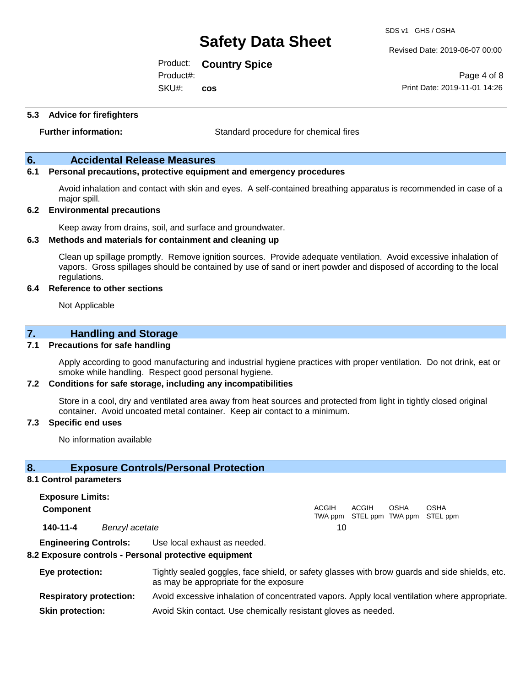Revised Date: 2019-06-07 00:00

Product: **Country Spice** 

SKU#: Product#: **cos**

Page 4 of 8 Print Date: 2019-11-01 14:26

**5.3 Advice for firefighters**

**Further information:** Standard procedure for chemical fires

#### **6. Accidental Release Measures**

#### **6.1 Personal precautions, protective equipment and emergency procedures**

Avoid inhalation and contact with skin and eyes. A self-contained breathing apparatus is recommended in case of a major spill.

#### **6.2 Environmental precautions**

Keep away from drains, soil, and surface and groundwater.

#### **6.3 Methods and materials for containment and cleaning up**

Clean up spillage promptly. Remove ignition sources. Provide adequate ventilation. Avoid excessive inhalation of vapors. Gross spillages should be contained by use of sand or inert powder and disposed of according to the local regulations.

#### **6.4 Reference to other sections**

Not Applicable

#### **7. Handling and Storage**

#### **7.1 Precautions for safe handling**

Apply according to good manufacturing and industrial hygiene practices with proper ventilation. Do not drink, eat or smoke while handling. Respect good personal hygiene.

#### **7.2 Conditions for safe storage, including any incompatibilities**

Store in a cool, dry and ventilated area away from heat sources and protected from light in tightly closed original container. Avoid uncoated metal container. Keep air contact to a minimum.

#### **7.3 Specific end uses**

No information available

#### **8. Exposure Controls/Personal Protection**

#### **8.1 Control parameters**

**Exposure Limits: Component** ACGIH TWA ppm STEL ppm TWA ppm STEL ppm ACGIH OSHA OSHA **140-11-4** *Benzyl acetate* 10

**Engineering Controls:** Use local exhaust as needed.

#### **8.2 Exposure controls - Personal protective equipment**

| Eye protection:                | Tightly sealed goggles, face shield, or safety glasses with brow guards and side shields, etc.<br>as may be appropriate for the exposure |
|--------------------------------|------------------------------------------------------------------------------------------------------------------------------------------|
| <b>Respiratory protection:</b> | Avoid excessive inhalation of concentrated vapors. Apply local ventilation where appropriate.                                            |
| <b>Skin protection:</b>        | Avoid Skin contact. Use chemically resistant gloves as needed.                                                                           |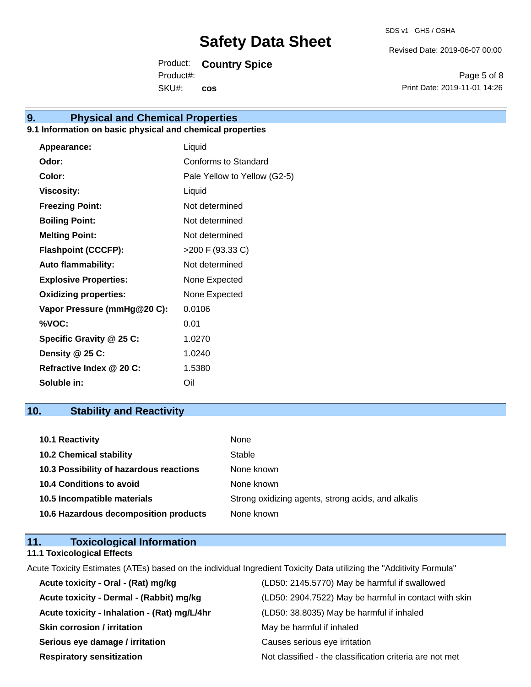Revised Date: 2019-06-07 00:00

Product: **Country Spice** 

SKU#: Product#: **cos**

Page 5 of 8 Print Date: 2019-11-01 14:26

## **9. Physical and Chemical Properties**

#### **9.1 Information on basic physical and chemical properties**

| Appearance:                  | Liquid                       |
|------------------------------|------------------------------|
| Odor:                        | Conforms to Standard         |
| Color:                       | Pale Yellow to Yellow (G2-5) |
| <b>Viscosity:</b>            | Liquid                       |
| <b>Freezing Point:</b>       | Not determined               |
| <b>Boiling Point:</b>        | Not determined               |
| <b>Melting Point:</b>        | Not determined               |
| <b>Flashpoint (CCCFP):</b>   | >200 F (93.33 C)             |
| <b>Auto flammability:</b>    | Not determined               |
| <b>Explosive Properties:</b> | None Expected                |
| <b>Oxidizing properties:</b> | None Expected                |
| Vapor Pressure (mmHg@20 C):  | 0.0106                       |
| %VOC:                        | 0.01                         |
| Specific Gravity @ 25 C:     | 1.0270                       |
| Density $@25C$ :             | 1.0240                       |
| Refractive Index @ 20 C:     | 1.5380                       |
| Soluble in:                  | Oil                          |

### **10. Stability and Reactivity**

| 10.1 Reactivity                         | None                                               |
|-----------------------------------------|----------------------------------------------------|
| <b>10.2 Chemical stability</b>          | Stable                                             |
| 10.3 Possibility of hazardous reactions | None known                                         |
| <b>10.4 Conditions to avoid</b>         | None known                                         |
| 10.5 Incompatible materials             | Strong oxidizing agents, strong acids, and alkalis |
| 10.6 Hazardous decomposition products   | None known                                         |

| 11. | <b>Toxicological Information</b>  |  |
|-----|-----------------------------------|--|
|     | <b>11.1 Toxicological Effects</b> |  |

Acute Toxicity Estimates (ATEs) based on the individual Ingredient Toxicity Data utilizing the "Additivity Formula"

| Acute toxicity - Oral - (Rat) mg/kg          | (LD50: 2145.5770) May be harmful if swallowed            |
|----------------------------------------------|----------------------------------------------------------|
| Acute toxicity - Dermal - (Rabbit) mg/kg     | (LD50: 2904.7522) May be harmful in contact with skin    |
| Acute toxicity - Inhalation - (Rat) mg/L/4hr | (LD50: 38.8035) May be harmful if inhaled                |
| <b>Skin corrosion / irritation</b>           | May be harmful if inhaled                                |
| Serious eye damage / irritation              | Causes serious eye irritation                            |
| <b>Respiratory sensitization</b>             | Not classified - the classification criteria are not met |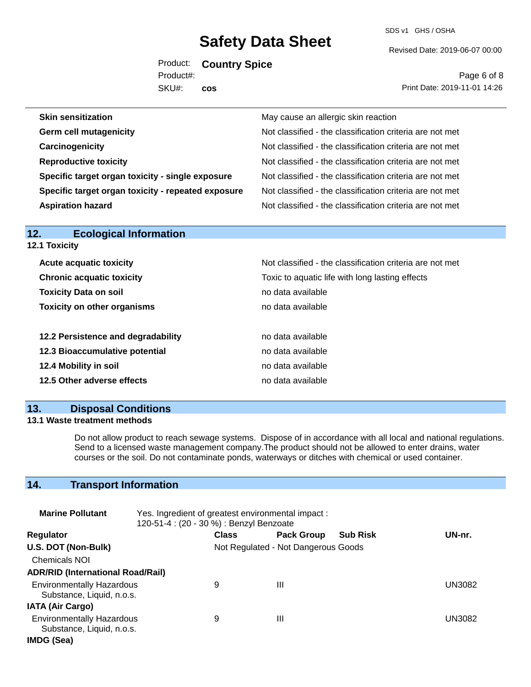SDS v1 GHS / OSHA

Revised Date: 2019-06-07 00:00

Product: **Country Spice**  SKU#: Product#: **cos**

Page 6 of 8 Print Date: 2019-11-01 14:26

| May cause an allergic skin reaction                      |
|----------------------------------------------------------|
| Not classified - the classification criteria are not met |
| Not classified - the classification criteria are not met |
| Not classified - the classification criteria are not met |
| Not classified - the classification criteria are not met |
| Not classified - the classification criteria are not met |
| Not classified - the classification criteria are not met |
|                                                          |

| <b>12.1 Toxicity</b>               |                                                          |  |  |
|------------------------------------|----------------------------------------------------------|--|--|
| <b>Acute acquatic toxicity</b>     | Not classified - the classification criteria are not met |  |  |
| <b>Chronic acquatic toxicity</b>   | Toxic to aquatic life with long lasting effects          |  |  |
| <b>Toxicity Data on soil</b>       | no data available                                        |  |  |
| <b>Toxicity on other organisms</b> | no data available                                        |  |  |
| 12.2 Persistence and degradability | no data available                                        |  |  |
| 12.3 Bioaccumulative potential     | no data available                                        |  |  |
| 12.4 Mobility in soil              | no data available                                        |  |  |
| 12.5 Other adverse effects         | no data available                                        |  |  |

### **13. Disposal Conditions**

**12. Ecological Information** 

#### **13.1 Waste treatment methods**

Do not allow product to reach sewage systems. Dispose of in accordance with all local and national regulations. Send to a licensed waste management company.The product should not be allowed to enter drains, water courses or the soil. Do not contaminate ponds, waterways or ditches with chemical or used container.

### **14. Transport Information**

| <b>Marine Pollutant</b>                                       | Yes. Ingredient of greatest environmental impact:<br>120-51-4 : (20 - 30 %) : Benzyl Benzoate |                                     |                   |                 |               |
|---------------------------------------------------------------|-----------------------------------------------------------------------------------------------|-------------------------------------|-------------------|-----------------|---------------|
| <b>Regulator</b>                                              |                                                                                               | <b>Class</b>                        | <b>Pack Group</b> | <b>Sub Risk</b> | UN-nr.        |
| U.S. DOT (Non-Bulk)                                           |                                                                                               | Not Regulated - Not Dangerous Goods |                   |                 |               |
| <b>Chemicals NOI</b>                                          |                                                                                               |                                     |                   |                 |               |
| <b>ADR/RID (International Road/Rail)</b>                      |                                                                                               |                                     |                   |                 |               |
| <b>Environmentally Hazardous</b><br>Substance, Liquid, n.o.s. |                                                                                               | 9                                   | Ш                 |                 | <b>UN3082</b> |
| <b>IATA (Air Cargo)</b>                                       |                                                                                               |                                     |                   |                 |               |
| <b>Environmentally Hazardous</b><br>Substance, Liquid, n.o.s. |                                                                                               | 9                                   | Ш                 |                 | UN3082        |
| IMDG (Sea)                                                    |                                                                                               |                                     |                   |                 |               |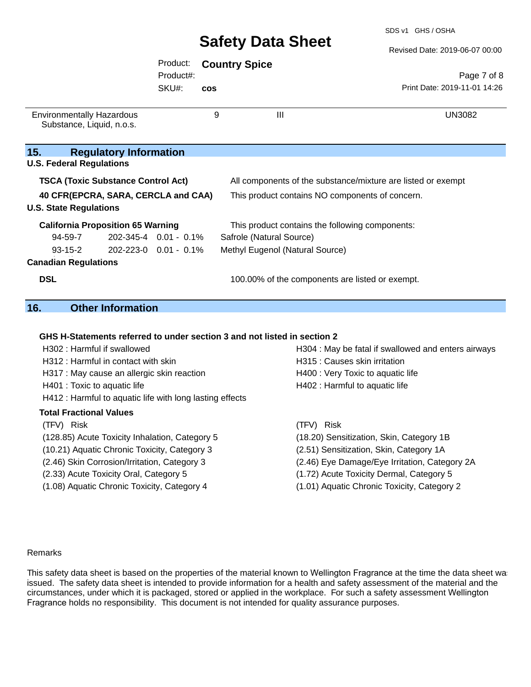#### Revised Date: 2019-06-07 00:00

#### Page 7 of 8 Print Date: 2019-11-01 14:26 Product: **Country Spice**  SKU#: Product#: **cos** Environmentally Hazardous Substance, Liquid, n.o.s. 9 III DIN 3082 **15. Regulatory Information U.S. Federal Regulations TSCA (Toxic Substance Control Act)** All components of the substance/mixture are listed or exempt **40 CFR(EPCRA, SARA, CERCLA and CAA)** This product contains NO components of concern. **U.S. State Regulations California Proposition 65 Warning** This product contains the following components: 94-59-7 93-15-2 202-345-4 0.01 - 0.1% Safrole (Natural Source) **Canadian Regulations** 202-223-0 0.01 - 0.1% Methyl Eugenol (Natural Source) **DSL DSL 100.00%** of the components are listed or exempt.

### **16. Other Information**

#### **GHS H-Statements referred to under section 3 and not listed in section 2**

| H302: Harmful if swallowed                               | H304 : May be fatal if swallowed and enters airways |  |  |
|----------------------------------------------------------|-----------------------------------------------------|--|--|
| H312 : Harmful in contact with skin                      | H315 : Causes skin irritation                       |  |  |
| H317 : May cause an allergic skin reaction               | H400 : Very Toxic to aquatic life                   |  |  |
| H401 : Toxic to aquatic life                             | H402 : Harmful to aquatic life                      |  |  |
| H412 : Harmful to aquatic life with long lasting effects |                                                     |  |  |
| <b>Total Fractional Values</b>                           |                                                     |  |  |
| (TFV) Risk                                               | (TFV) Risk                                          |  |  |
| (128.85) Acute Toxicity Inhalation, Category 5           | (18.20) Sensitization, Skin, Category 1B            |  |  |
| (10.21) Aquatic Chronic Toxicity, Category 3             | (2.51) Sensitization, Skin, Category 1A             |  |  |
| (2.46) Skin Corrosion/Irritation, Category 3             | (2.46) Eye Damage/Eye Irritation, Category 2A       |  |  |
| (2.33) Acute Toxicity Oral, Category 5                   | (1.72) Acute Toxicity Dermal, Category 5            |  |  |
| (1.08) Aquatic Chronic Toxicity, Category 4              | (1.01) Aquatic Chronic Toxicity, Category 2         |  |  |

#### Remarks

This safety data sheet is based on the properties of the material known to Wellington Fragrance at the time the data sheet was issued. The safety data sheet is intended to provide information for a health and safety assessment of the material and the circumstances, under which it is packaged, stored or applied in the workplace. For such a safety assessment Wellington Fragrance holds no responsibility. This document is not intended for quality assurance purposes.